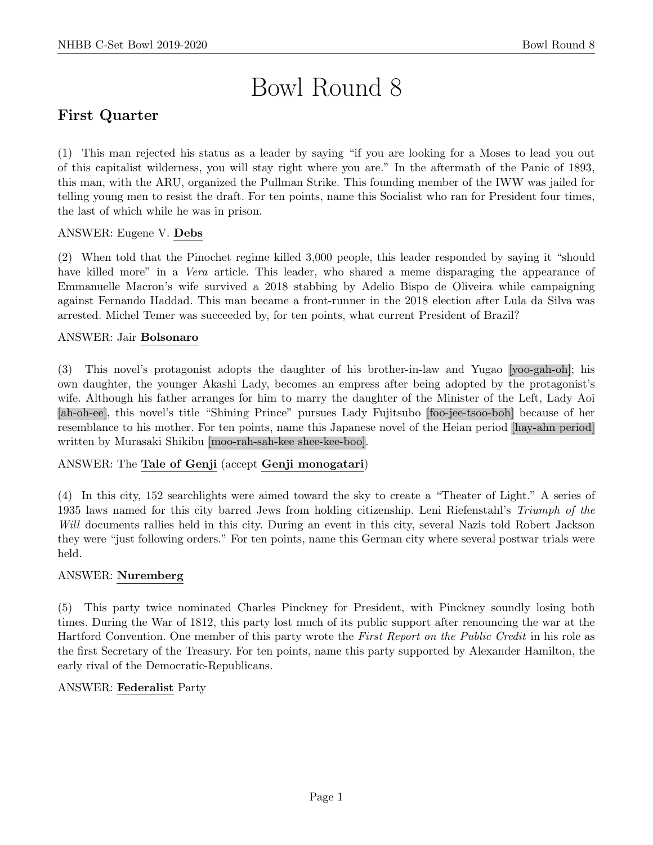# Bowl Round 8

# First Quarter

(1) This man rejected his status as a leader by saying "if you are looking for a Moses to lead you out of this capitalist wilderness, you will stay right where you are." In the aftermath of the Panic of 1893, this man, with the ARU, organized the Pullman Strike. This founding member of the IWW was jailed for telling young men to resist the draft. For ten points, name this Socialist who ran for President four times, the last of which while he was in prison.

# ANSWER: Eugene V. Debs

(2) When told that the Pinochet regime killed 3,000 people, this leader responded by saying it "should have killed more" in a *Vera* article. This leader, who shared a meme disparaging the appearance of Emmanuelle Macron's wife survived a 2018 stabbing by Adelio Bispo de Oliveira while campaigning against Fernando Haddad. This man became a front-runner in the 2018 election after Lula da Silva was arrested. Michel Temer was succeeded by, for ten points, what current President of Brazil?

# ANSWER: Jair Bolsonaro

(3) This novel's protagonist adopts the daughter of his brother-in-law and Yugao [yoo-gah-oh]; his own daughter, the younger Akashi Lady, becomes an empress after being adopted by the protagonist's wife. Although his father arranges for him to marry the daughter of the Minister of the Left, Lady Aoi [ah-oh-ee], this novel's title "Shining Prince" pursues Lady Fujitsubo [foo-jee-tsoo-boh] because of her resemblance to his mother. For ten points, name this Japanese novel of the Heian period [hay-ahn period] written by Murasaki Shikibu [moo-rah-sah-kee shee-kee-boo].

# ANSWER: The Tale of Genji (accept Genji monogatari)

(4) In this city, 152 searchlights were aimed toward the sky to create a "Theater of Light." A series of 1935 laws named for this city barred Jews from holding citizenship. Leni Riefenstahl's Triumph of the Will documents rallies held in this city. During an event in this city, several Nazis told Robert Jackson they were "just following orders." For ten points, name this German city where several postwar trials were held.

# ANSWER: Nuremberg

(5) This party twice nominated Charles Pinckney for President, with Pinckney soundly losing both times. During the War of 1812, this party lost much of its public support after renouncing the war at the Hartford Convention. One member of this party wrote the First Report on the Public Credit in his role as the first Secretary of the Treasury. For ten points, name this party supported by Alexander Hamilton, the early rival of the Democratic-Republicans.

# ANSWER: Federalist Party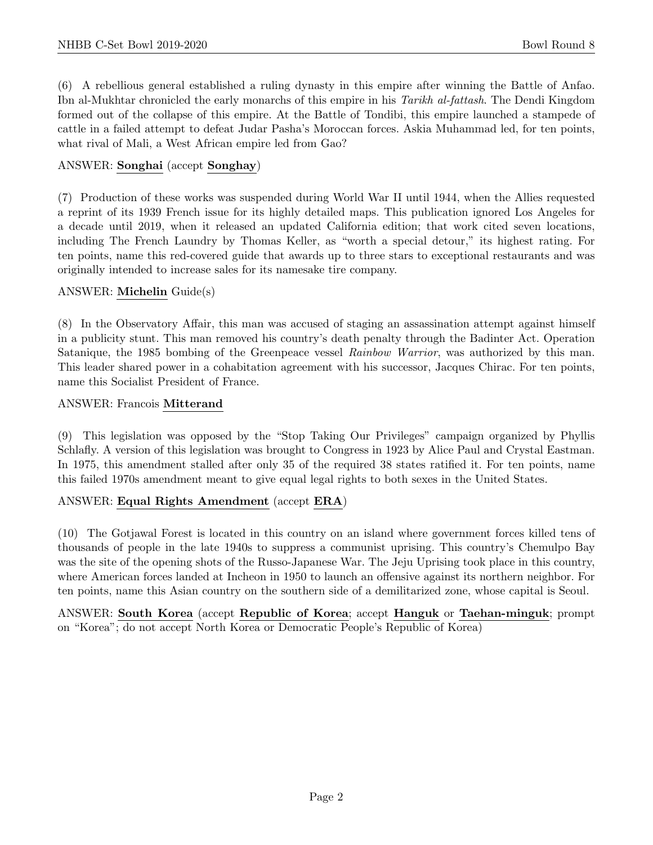(6) A rebellious general established a ruling dynasty in this empire after winning the Battle of Anfao. Ibn al-Mukhtar chronicled the early monarchs of this empire in his Tarikh al-fattash. The Dendi Kingdom formed out of the collapse of this empire. At the Battle of Tondibi, this empire launched a stampede of cattle in a failed attempt to defeat Judar Pasha's Moroccan forces. Askia Muhammad led, for ten points, what rival of Mali, a West African empire led from Gao?

# ANSWER: Songhai (accept Songhay)

(7) Production of these works was suspended during World War II until 1944, when the Allies requested a reprint of its 1939 French issue for its highly detailed maps. This publication ignored Los Angeles for a decade until 2019, when it released an updated California edition; that work cited seven locations, including The French Laundry by Thomas Keller, as "worth a special detour," its highest rating. For ten points, name this red-covered guide that awards up to three stars to exceptional restaurants and was originally intended to increase sales for its namesake tire company.

# ANSWER: Michelin Guide(s)

(8) In the Observatory Affair, this man was accused of staging an assassination attempt against himself in a publicity stunt. This man removed his country's death penalty through the Badinter Act. Operation Satanique, the 1985 bombing of the Greenpeace vessel Rainbow Warrior, was authorized by this man. This leader shared power in a cohabitation agreement with his successor, Jacques Chirac. For ten points, name this Socialist President of France.

#### ANSWER: Francois Mitterand

(9) This legislation was opposed by the "Stop Taking Our Privileges" campaign organized by Phyllis Schlafly. A version of this legislation was brought to Congress in 1923 by Alice Paul and Crystal Eastman. In 1975, this amendment stalled after only 35 of the required 38 states ratified it. For ten points, name this failed 1970s amendment meant to give equal legal rights to both sexes in the United States.

# ANSWER: Equal Rights Amendment (accept ERA)

(10) The Gotjawal Forest is located in this country on an island where government forces killed tens of thousands of people in the late 1940s to suppress a communist uprising. This country's Chemulpo Bay was the site of the opening shots of the Russo-Japanese War. The Jeju Uprising took place in this country, where American forces landed at Incheon in 1950 to launch an offensive against its northern neighbor. For ten points, name this Asian country on the southern side of a demilitarized zone, whose capital is Seoul.

ANSWER: South Korea (accept Republic of Korea; accept Hanguk or Taehan-minguk; prompt on "Korea"; do not accept North Korea or Democratic People's Republic of Korea)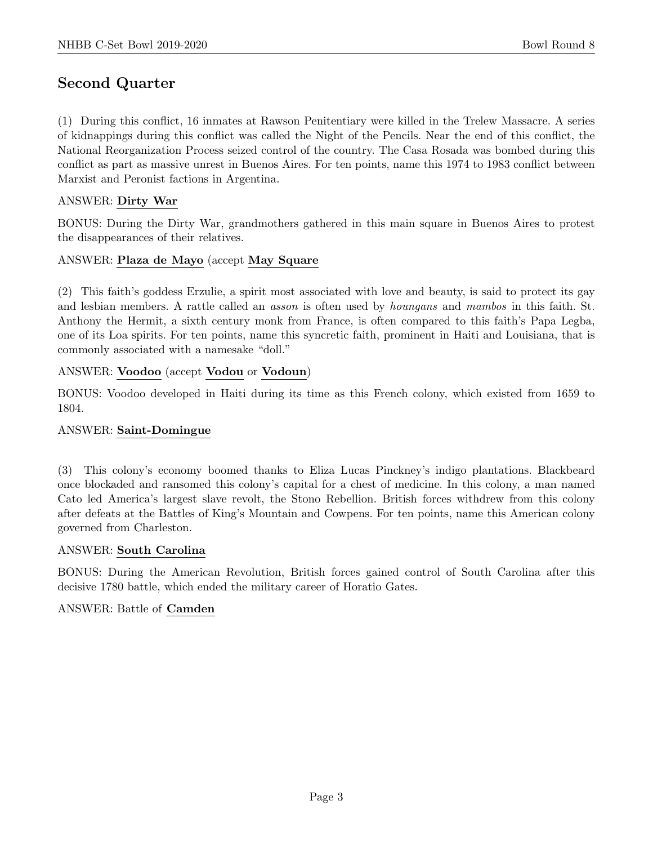# Second Quarter

(1) During this conflict, 16 inmates at Rawson Penitentiary were killed in the Trelew Massacre. A series of kidnappings during this conflict was called the Night of the Pencils. Near the end of this conflict, the National Reorganization Process seized control of the country. The Casa Rosada was bombed during this conflict as part as massive unrest in Buenos Aires. For ten points, name this 1974 to 1983 conflict between Marxist and Peronist factions in Argentina.

# ANSWER: Dirty War

BONUS: During the Dirty War, grandmothers gathered in this main square in Buenos Aires to protest the disappearances of their relatives.

# ANSWER: Plaza de Mayo (accept May Square

(2) This faith's goddess Erzulie, a spirit most associated with love and beauty, is said to protect its gay and lesbian members. A rattle called an *asson* is often used by *houngans* and *mambos* in this faith. St. Anthony the Hermit, a sixth century monk from France, is often compared to this faith's Papa Legba, one of its Loa spirits. For ten points, name this syncretic faith, prominent in Haiti and Louisiana, that is commonly associated with a namesake "doll."

# ANSWER: Voodoo (accept Vodou or Vodoun)

BONUS: Voodoo developed in Haiti during its time as this French colony, which existed from 1659 to 1804.

# ANSWER: Saint-Domingue

(3) This colony's economy boomed thanks to Eliza Lucas Pinckney's indigo plantations. Blackbeard once blockaded and ransomed this colony's capital for a chest of medicine. In this colony, a man named Cato led America's largest slave revolt, the Stono Rebellion. British forces withdrew from this colony after defeats at the Battles of King's Mountain and Cowpens. For ten points, name this American colony governed from Charleston.

# ANSWER: South Carolina

BONUS: During the American Revolution, British forces gained control of South Carolina after this decisive 1780 battle, which ended the military career of Horatio Gates.

# ANSWER: Battle of Camden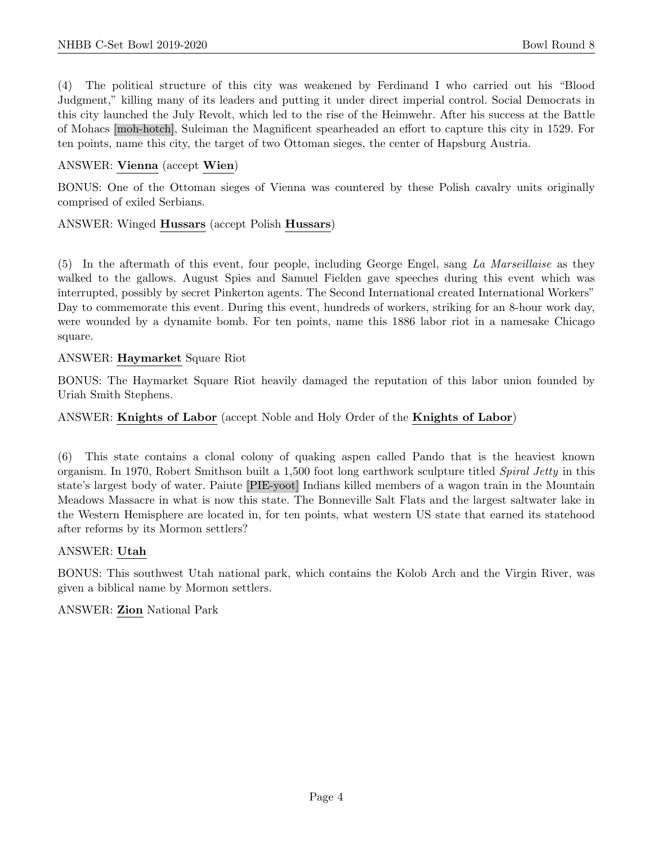(4) The political structure of this city was weakened by Ferdinand I who carried out his "Blood Judgment," killing many of its leaders and putting it under direct imperial control. Social Democrats in this city launched the July Revolt, which led to the rise of the Heimwehr. After his success at the Battle of Mohacs [moh-hotch], Suleiman the Magnificent spearheaded an effort to capture this city in 1529. For ten points, name this city, the target of two Ottoman sieges, the center of Hapsburg Austria.

# ANSWER: Vienna (accept Wien)

BONUS: One of the Ottoman sieges of Vienna was countered by these Polish cavalry units originally comprised of exiled Serbians.

#### ANSWER: Winged Hussars (accept Polish Hussars)

(5) In the aftermath of this event, four people, including George Engel, sang La Marseillaise as they walked to the gallows. August Spies and Samuel Fielden gave speeches during this event which was interrupted, possibly by secret Pinkerton agents. The Second International created International Workers" Day to commemorate this event. During this event, hundreds of workers, striking for an 8-hour work day, were wounded by a dynamite bomb. For ten points, name this 1886 labor riot in a namesake Chicago square.

#### ANSWER: Haymarket Square Riot

BONUS: The Haymarket Square Riot heavily damaged the reputation of this labor union founded by Uriah Smith Stephens.

#### ANSWER: Knights of Labor (accept Noble and Holy Order of the Knights of Labor)

(6) This state contains a clonal colony of quaking aspen called Pando that is the heaviest known organism. In 1970, Robert Smithson built a 1,500 foot long earthwork sculpture titled Spiral Jetty in this state's largest body of water. Paiute [PIE-yoot] Indians killed members of a wagon train in the Mountain Meadows Massacre in what is now this state. The Bonneville Salt Flats and the largest saltwater lake in the Western Hemisphere are located in, for ten points, what western US state that earned its statehood after reforms by its Mormon settlers?

#### ANSWER: Utah

BONUS: This southwest Utah national park, which contains the Kolob Arch and the Virgin River, was given a biblical name by Mormon settlers.

#### ANSWER: Zion National Park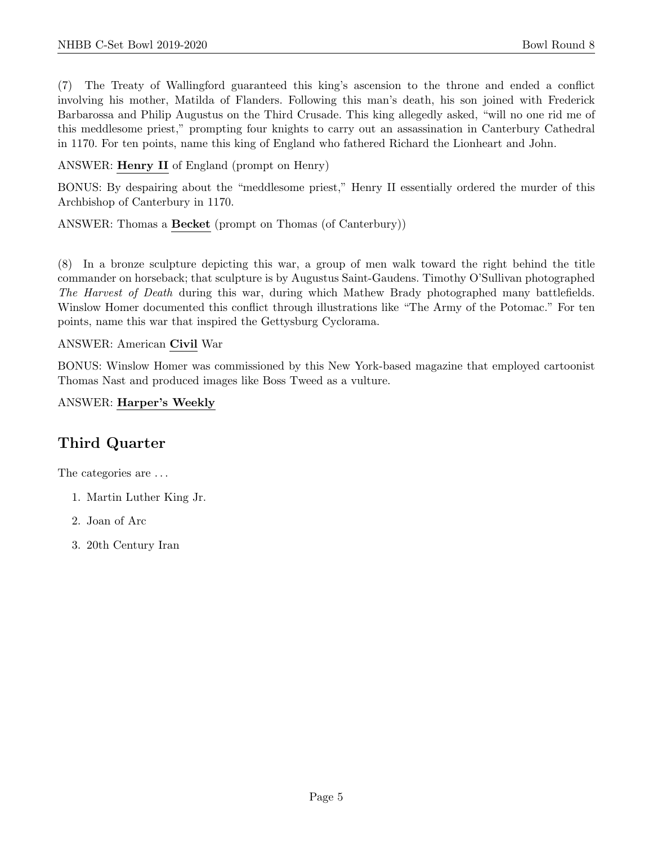(7) The Treaty of Wallingford guaranteed this king's ascension to the throne and ended a conflict involving his mother, Matilda of Flanders. Following this man's death, his son joined with Frederick Barbarossa and Philip Augustus on the Third Crusade. This king allegedly asked, "will no one rid me of this meddlesome priest," prompting four knights to carry out an assassination in Canterbury Cathedral in 1170. For ten points, name this king of England who fathered Richard the Lionheart and John.

ANSWER: Henry II of England (prompt on Henry)

BONUS: By despairing about the "meddlesome priest," Henry II essentially ordered the murder of this Archbishop of Canterbury in 1170.

ANSWER: Thomas a Becket (prompt on Thomas (of Canterbury))

(8) In a bronze sculpture depicting this war, a group of men walk toward the right behind the title commander on horseback; that sculpture is by Augustus Saint-Gaudens. Timothy O'Sullivan photographed The Harvest of Death during this war, during which Mathew Brady photographed many battlefields. Winslow Homer documented this conflict through illustrations like "The Army of the Potomac." For ten points, name this war that inspired the Gettysburg Cyclorama.

# ANSWER: American Civil War

BONUS: Winslow Homer was commissioned by this New York-based magazine that employed cartoonist Thomas Nast and produced images like Boss Tweed as a vulture.

# ANSWER: Harper's Weekly

# Third Quarter

The categories are  $\dots$ 

- 1. Martin Luther King Jr.
- 2. Joan of Arc
- 3. 20th Century Iran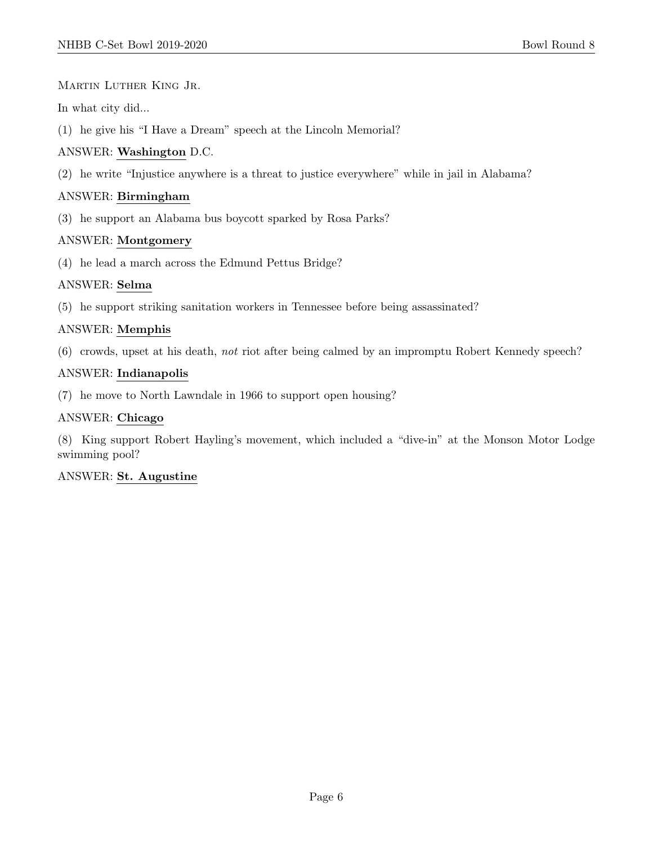Martin Luther King Jr.

In what city did...

(1) he give his "I Have a Dream" speech at the Lincoln Memorial?

# ANSWER: Washington D.C.

(2) he write "Injustice anywhere is a threat to justice everywhere" while in jail in Alabama?

# ANSWER: Birmingham

(3) he support an Alabama bus boycott sparked by Rosa Parks?

# ANSWER: Montgomery

(4) he lead a march across the Edmund Pettus Bridge?

# ANSWER: Selma

(5) he support striking sanitation workers in Tennessee before being assassinated?

# ANSWER: Memphis

(6) crowds, upset at his death, not riot after being calmed by an impromptu Robert Kennedy speech?

# ANSWER: Indianapolis

(7) he move to North Lawndale in 1966 to support open housing?

# ANSWER: Chicago

(8) King support Robert Hayling's movement, which included a "dive-in" at the Monson Motor Lodge swimming pool?

# ANSWER: St. Augustine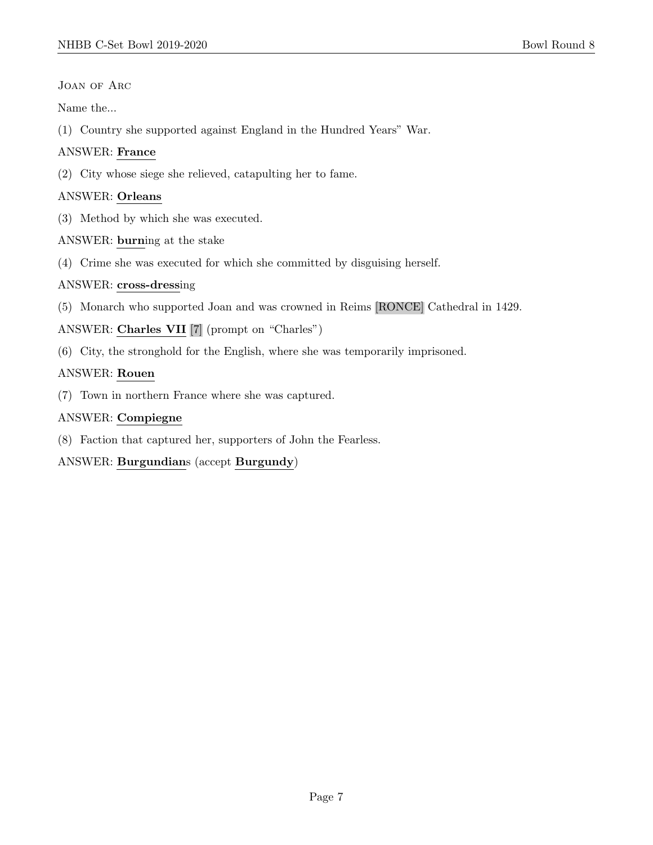JOAN OF ARC

Name the...

(1) Country she supported against England in the Hundred Years" War.

# ANSWER: France

(2) City whose siege she relieved, catapulting her to fame.

# ANSWER: Orleans

- (3) Method by which she was executed.
- ANSWER: burning at the stake
- (4) Crime she was executed for which she committed by disguising herself.

# ANSWER: cross-dressing

(5) Monarch who supported Joan and was crowned in Reims [RONCE] Cathedral in 1429.

# ANSWER: Charles VII [7] (prompt on "Charles")

(6) City, the stronghold for the English, where she was temporarily imprisoned.

# ANSWER: Rouen

(7) Town in northern France where she was captured.

# ANSWER: Compiegne

(8) Faction that captured her, supporters of John the Fearless.

# ANSWER: Burgundians (accept Burgundy)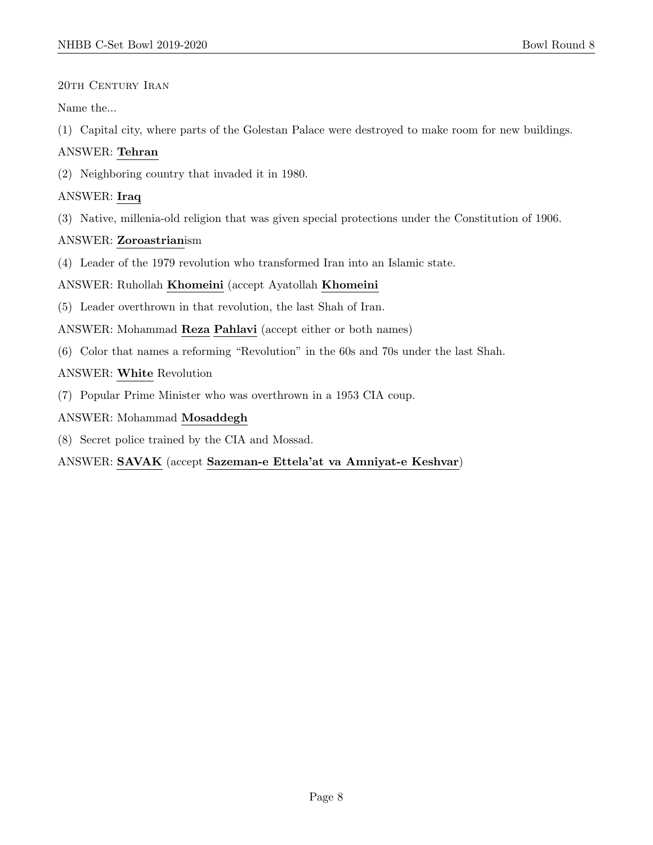# 20th Century Iran

Name the...

(1) Capital city, where parts of the Golestan Palace were destroyed to make room for new buildings.

# ANSWER: Tehran

(2) Neighboring country that invaded it in 1980.

# ANSWER: Iraq

(3) Native, millenia-old religion that was given special protections under the Constitution of 1906.

# ANSWER: Zoroastrianism

(4) Leader of the 1979 revolution who transformed Iran into an Islamic state.

# ANSWER: Ruhollah Khomeini (accept Ayatollah Khomeini

(5) Leader overthrown in that revolution, the last Shah of Iran.

ANSWER: Mohammad Reza Pahlavi (accept either or both names)

(6) Color that names a reforming "Revolution" in the 60s and 70s under the last Shah.

# ANSWER: White Revolution

(7) Popular Prime Minister who was overthrown in a 1953 CIA coup.

# ANSWER: Mohammad Mosaddegh

(8) Secret police trained by the CIA and Mossad.

# ANSWER: SAVAK (accept Sazeman-e Ettela'at va Amniyat-e Keshvar)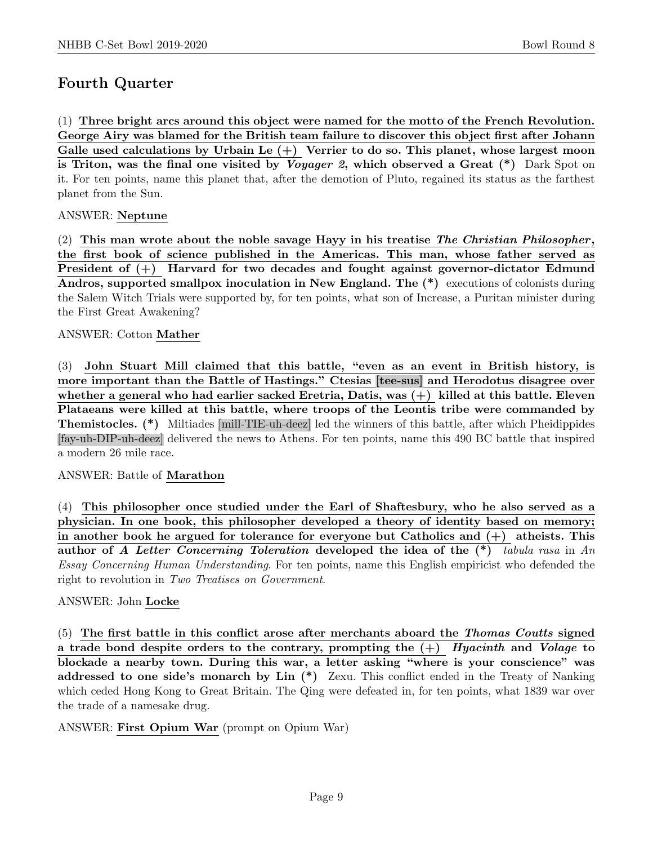# Fourth Quarter

(1) Three bright arcs around this object were named for the motto of the French Revolution. George Airy was blamed for the British team failure to discover this object first after Johann Galle used calculations by Urbain Le  $(+)$  Verrier to do so. This planet, whose largest moon is Triton, was the final one visited by *Voyager 2*, which observed a Great  $(*)$  Dark Spot on it. For ten points, name this planet that, after the demotion of Pluto, regained its status as the farthest planet from the Sun.

# ANSWER: Neptune

(2) This man wrote about the noble savage Hayy in his treatise The Christian Philosopher, the first book of science published in the Americas. This man, whose father served as President of (+) Harvard for two decades and fought against governor-dictator Edmund Andros, supported smallpox inoculation in New England. The  $(*)$  executions of colonists during the Salem Witch Trials were supported by, for ten points, what son of Increase, a Puritan minister during the First Great Awakening?

# ANSWER: Cotton Mather

(3) John Stuart Mill claimed that this battle, "even as an event in British history, is more important than the Battle of Hastings." Ctesias [tee-sus] and Herodotus disagree over whether a general who had earlier sacked Eretria, Datis, was (+) killed at this battle. Eleven Plataeans were killed at this battle, where troops of the Leontis tribe were commanded by Themistocles. (\*) Miltiades [mill-TIE-uh-deez] led the winners of this battle, after which Pheidippides [fay-uh-DIP-uh-deez] delivered the news to Athens. For ten points, name this 490 BC battle that inspired a modern 26 mile race.

# ANSWER: Battle of Marathon

(4) This philosopher once studied under the Earl of Shaftesbury, who he also served as a physician. In one book, this philosopher developed a theory of identity based on memory; in another book he argued for tolerance for everyone but Catholics and  $(+)$  atheists. This author of A Letter Concerning Toleration developed the idea of the  $(*)$  tabula rasa in An Essay Concerning Human Understanding. For ten points, name this English empiricist who defended the right to revolution in Two Treatises on Government.

# ANSWER: John Locke

(5) The first battle in this conflict arose after merchants aboard the Thomas Coutts signed a trade bond despite orders to the contrary, prompting the  $(+)$  Hyacinth and Volage to blockade a nearby town. During this war, a letter asking "where is your conscience" was addressed to one side's monarch by Lin (\*) Zexu. This conflict ended in the Treaty of Nanking which ceded Hong Kong to Great Britain. The Qing were defeated in, for ten points, what 1839 war over the trade of a namesake drug.

ANSWER: First Opium War (prompt on Opium War)